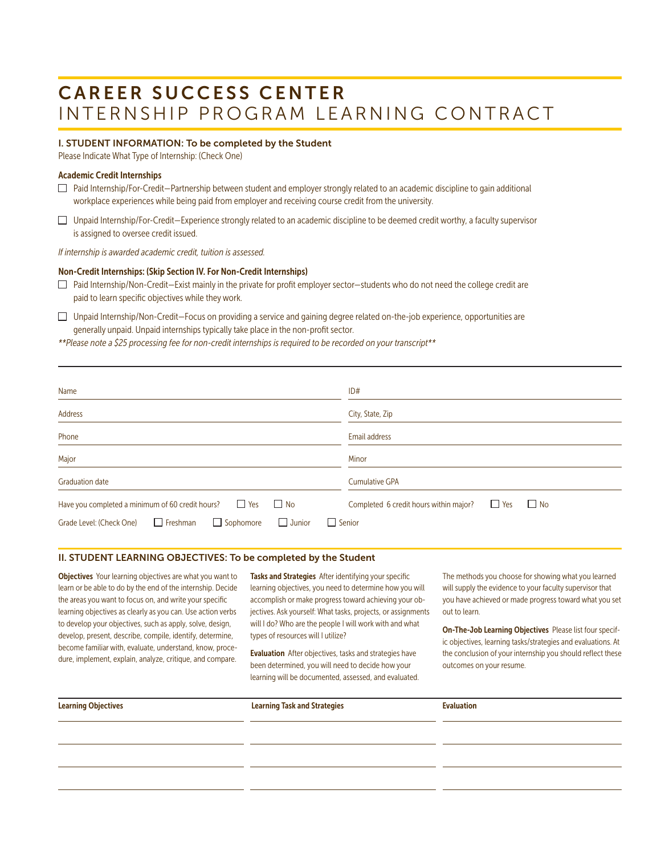# CAREER SUCCESS CENTER INTERNSHIP PROGRAM LEARNING CONTRACT

### I. STUDENT INFORMATION: To be completed by the Student

Please Indicate What Type of Internship: (Check One)

#### Academic Credit Internships

- $\Box$  Paid Internship/For-Credit—Partnership between student and employer strongly related to an academic discipline to gain additional workplace experiences while being paid from employer and receiving course credit from the university.
- $\Box$  Unpaid Internship/For-Credit-Experience strongly related to an academic discipline to be deemed credit worthy, a faculty supervisor is assigned to oversee credit issued.

*If internship is awarded academic credit, tuition is assessed.*

#### Non-Credit Internships: (Skip Section IV. For Non-Credit Internships)

- $\Box$  Paid Internship/Non-Credit—Exist mainly in the private for profit employer sector—students who do not need the college credit are paid to learn specific objectives while they work.
- $\Box$  Unpaid Internship/Non-Credit–Focus on providing a service and gaining degree related on-the-job experience, opportunities are generally unpaid. Unpaid internships typically take place in the non-profit sector.
- *\*\*Please note a \$25 processing fee for non-credit internships is required to be recorded on your transcript\*\**

| Name                                                                                                                                                            | ID#                                                                                |
|-----------------------------------------------------------------------------------------------------------------------------------------------------------------|------------------------------------------------------------------------------------|
| Address                                                                                                                                                         | City, State, Zip                                                                   |
| Phone                                                                                                                                                           | <b>Email address</b>                                                               |
| Major                                                                                                                                                           | Minor                                                                              |
| <b>Graduation date</b>                                                                                                                                          | <b>Cumulative GPA</b>                                                              |
| $\Box$ No<br>$\Box$ Yes<br>Have you completed a minimum of 60 credit hours?<br>$\Box$ Junior<br>$\Box$ Freshman<br>$\Box$ Sophomore<br>Grade Level: (Check One) | $\Box$ No<br>Completed 6 credit hours within major?<br>$\Box$ Yes<br>$\Box$ Senior |

#### II. STUDENT LEARNING OBJECTIVES: To be completed by the Student

**Objectives** Your learning objectives are what you want to learn or be able to do by the end of the internship. Decide the areas you want to focus on, and write your specific learning objectives as clearly as you can. Use action verbs to develop your objectives, such as apply, solve, design, develop, present, describe, compile, identify, determine, become familiar with, evaluate, understand, know, procedure, implement, explain, analyze, critique, and compare.

Tasks and Strategies After identifying your specific learning objectives, you need to determine how you will accomplish or make progress toward achieving your objectives. Ask yourself: What tasks, projects, or assignments will I do? Who are the people I will work with and what types of resources will I utilize?

Evaluation After objectives, tasks and strategies have been determined, you will need to decide how your learning will be documented, assessed, and evaluated.

The methods you choose for showing what you learned will supply the evidence to your faculty supervisor that you have achieved or made progress toward what you set out to learn.

On-The-Job Learning Objectives Please list four specific objectives, learning tasks/strategies and evaluations. At the conclusion of your internship you should reflect these outcomes on your resume.

| <b>Learning Objectives</b> | <b>Learning Task and Strategies</b> | <b>Evaluation</b> |
|----------------------------|-------------------------------------|-------------------|
|                            |                                     |                   |
|                            |                                     |                   |
|                            |                                     |                   |